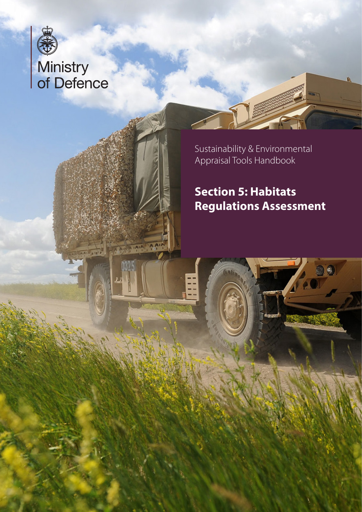

# Ministry<br>of Defence

**AND PIPE SAM** 

AIAIM SIDE

Sustainability & Environmental Appraisal Tools Handbook

# **Section 5: Habitats Regulations Assessment**

é,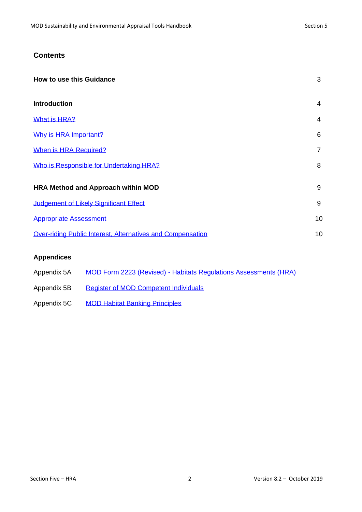#### **Contents**

| <b>How to use this Guidance</b>                            | 3              |
|------------------------------------------------------------|----------------|
| <b>Introduction</b>                                        | 4              |
| What is HRA?                                               | 4              |
| Why is HRA Important?                                      | 6              |
| When is HRA Required?                                      | $\overline{7}$ |
| Who is Responsible for Undertaking HRA?                    | 8              |
| <b>HRA Method and Approach within MOD</b>                  | 9              |
| Judgement of Likely Significant Effect                     | 9              |
| <b>Appropriate Assessment</b>                              | 10             |
| Over-riding Public Interest, Alternatives and Compensation | 10             |

#### **Appendices**

<span id="page-1-0"></span>

| Appendix 5A | <b>MOD Form 2223 (Revised) - Habitats Regulations Assessments (HRA)</b> |
|-------------|-------------------------------------------------------------------------|
| Appendix 5B | <b>Register of MOD Competent Individuals</b>                            |
| Appendix 5C | <b>MOD Habitat Banking Principles</b>                                   |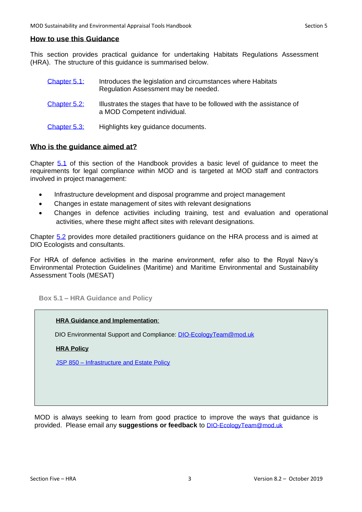#### **How to use this Guidance**

This section provides practical guidance for undertaking Habitats Regulations Assessment (HRA). The structure of this guidance is summarised below.

| Chapter 5.1: | Introduces the legislation and circumstances where Habitats<br>Regulation Assessment may be needed.   |
|--------------|-------------------------------------------------------------------------------------------------------|
| Chapter 5.2: | Illustrates the stages that have to be followed with the assistance of<br>a MOD Competent individual. |
| Chapter 5.3: | Highlights key guidance documents.                                                                    |

#### **Who is the guidance aimed at?**

Chapter [5.1](#page-3-0) of this section of the Handbook provides a basic level of guidance to meet the requirements for legal compliance within MOD and is targeted at MOD staff and contractors involved in project management:

- Infrastructure development and disposal programme and project management
- Changes in estate management of sites with relevant designations
- Changes in defence activities including training, test and evaluation and operational activities, where these might affect sites with relevant designations.

Chapter [5.2](#page-8-0) provides more detailed practitioners guidance on the HRA process and is aimed at DIO Ecologists and consultants.

For HRA of defence activities in the marine environment, refer also to the Royal Navy's Environmental Protection Guidelines (Maritime) and Maritime Environmental and Sustainability Assessment Tools (MESAT)

<span id="page-2-0"></span>**Box 5.1 – HRA Guidance and Policy**

#### **HRA Guidance and Implementation**:

DIO Environmental Support and Compliance: [DIO-EcologyTeam@mod.uk](mailto:DIO-EcologyTeam@mod.uk)

**HRA Policy**

JSP 850 – [Infrastructure and Estate Policy](https://modgovuk.sharepoint.com/sites/defnet/HOCS/Pages/JSP850.aspx) 

MOD is always seeking to learn from good practice to improve the ways that guidance is provided. Please email any **suggestions or feedback** to [DIO-EcologyTeam@mod.uk](mailto:DIO-EcologyTeam@mod.uk)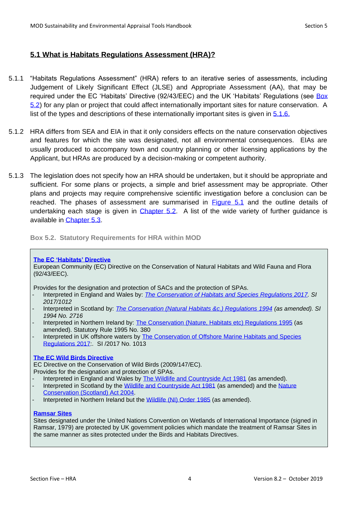#### <span id="page-3-0"></span>**5.1 What is Habitats Regulations Assessment (HRA)?**

- 5.1.1 "Habitats Regulations Assessment" (HRA) refers to an iterative series of assessments, including Judgement of Likely Significant Effect (JLSE) and Appropriate Assessment (AA), that may be required under the EC 'Habitats' Directive (92/43/EEC) and the UK 'Habitats' Regulations (see Box [5.2\)](#page-3-1) for any plan or project that could affect internationally important sites for nature conservation. A list of the types and descriptions of these internationally important sites is given in [5.1.6](#page-5-1).
- 5.1.2 HRA differs from SEA and EIA in that it only considers effects on the nature conservation objectives and features for which the site was designated, not all environmental consequences. EIAs are usually produced to accompany town and country planning or other licensing applications by the Applicant, but HRAs are produced by a decision-making or competent authority.
- 5.1.3 The legislation does not specify how an HRA should be undertaken, but it should be appropriate and sufficient. For some plans or projects, a simple and brief assessment may be appropriate. Other plans and projects may require comprehensive scientific investigation before a conclusion can be reached. The phases of assessment are summarised in [Figure 5.1](#page-3-2) and the outline details of undertaking each stage is given in [Chapter 5.2.](#page-8-0) A list of the wide variety of further guidance is available in [Chapter 5.3.](#page-10-0)

<span id="page-3-1"></span>**Box 5.2. Statutory Requirements for HRA within MOD**

#### **[The EC 'Habitats' Directive](http://jncc.defra.gov.uk/page-1374)**

European Community (EC) Directive on the Conservation of Natural Habitats and Wild Fauna and Flora (92/43/EEC).

Provides for the designation and protection of SACs and the protection of SPAs.

- Interpreted in England and Wales by: *[The Conservation of Habitats and Species Regulations 2017.](https://www.legislation.gov.uk/uksi/2017/1012/contents/made) SI 2017/1012*
- Interpreted in Scotland by: *[The Conservation \(Natural Habitats &c.\) Regulations 1994](http://www.legislation.gov.uk/uksi/1994/2716/contents/made) (as amended). SI 1994 No. 2716*
- Interpreted in Northern Ireland by: [The Conservation \(Nature, Habitats etc\) Regulations 1995](http://www.legislation.gov.uk/nisr/1995/380/contents/made) (as amended). Statutory Rule 1995 No. 380
- Interpreted in UK offshore waters by [The Conservation of Offshore Marine Habitats and Species](https://www.legislation.gov.uk/uksi/2017/1013/contents/made)  [Regulations 2017:](https://www.legislation.gov.uk/uksi/2017/1013/contents/made)*.* SI /2017 No. 1013

#### **[The EC Wild Birds Directive](http://jncc.defra.gov.uk/page-1373)**

EC Directive on the Conservation of Wild Birds (2009/147/EC). Provides for the designation and protection of SPAs.

- Interpreted in England and Wales by [The Wildlife and Countryside Act 1981](http://www.legislation.gov.uk/ukpga/1981/69) (as amended).
- Interpreted in Scotland by the Wildlife and [Countryside Act 1981](http://www.legislation.gov.uk/ukpga/1981/69) (as amended) and the Nature [Conservation \(Scotland\) Act 2004.](http://www.legislation.gov.uk/asp/2004/6/contents)
- Interpreted in Northern Ireland but the [Wildlife \(NI\) Order 1985](http://www.legislation.gov.uk/nisi/1985/171/contents) (as amended).

#### **[Ramsar Sites](http://jncc.defra.gov.uk/page-161)**

<span id="page-3-2"></span>Sites designated under the United Nations Convention on Wetlands of International Importance (signed in Ramsar, 1979) are protected by UK government policies which mandate the treatment of Ramsar Sites in the same manner as sites protected under the Birds and Habitats Directives.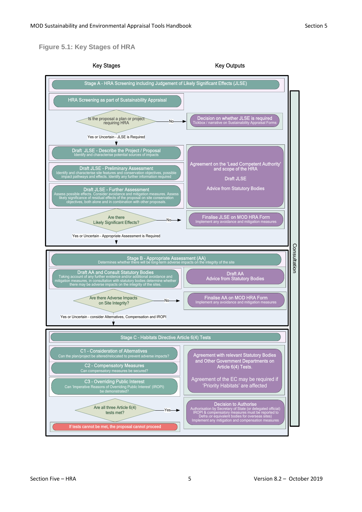#### **Figure 5.1: Key Stages of HRA**

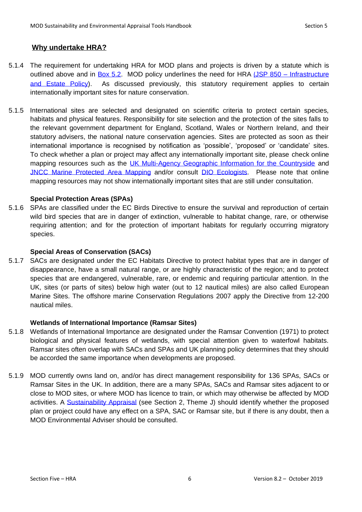#### <span id="page-5-1"></span><span id="page-5-0"></span>**Why undertake HRA?**

- 5.1.4 The requirement for undertaking HRA for MOD plans and projects is driven by a statute which is outlined above and in [Box 5.2.](#page-3-1) MOD policy underlines the need for HRA (JSP 850 – Infrastructure [and Estate Policy\)](https://www.gov.uk/government/collections/joint-service-publication-jsp). As discussed previously, this statutory requirement applies to certain internationally important sites for nature conservation.
- 5.1.5 International sites are selected and designated on scientific criteria to protect certain species, habitats and physical features. Responsibility for site selection and the protection of the sites falls to the relevant government department for England, Scotland, Wales or Northern Ireland, and their statutory advisers, the national nature conservation agencies. Sites are protected as soon as their international importance is recognised by notification as 'possible', 'proposed' or 'candidate' sites. To check whether a plan or project may affect any internationally important site, please check online mapping resources such as the [UK Multi-Agency Geographic Information for the Countryside](http://www.magic.gov.uk/) and [JNCC Marine Protected Area Mapping](http://jncc.defra.gov.uk/page-5201) and/or consult [DIO Ecologists.](#page-2-0) Please note that online mapping resources may not show internationally important sites that are still under consultation.

#### **Special Protection Areas (SPAs)**

5.1.6 SPAs are classified under the EC Birds Directive to ensure the survival and reproduction of certain wild bird species that are in danger of extinction, vulnerable to habitat change, rare, or otherwise requiring attention; and for the protection of important habitats for regularly occurring migratory species.

#### **Special Areas of Conservation (SACs)**

5.1.7 SACs are designated under the EC Habitats Directive to protect habitat types that are in danger of disappearance, have a small natural range, or are highly characteristic of the region; and to protect species that are endangered, vulnerable, rare, or endemic and requiring particular attention. In the UK, sites (or parts of sites) below high water (out to 12 nautical miles) are also called European Marine Sites. The offshore marine Conservation Regulations 2007 apply the Directive from 12-200 nautical miles.

#### **Wetlands of International Importance (Ramsar Sites)**

- 5.1.8 Wetlands of International Importance are designated under the Ramsar Convention (1971) to protect biological and physical features of wetlands, with special attention given to waterfowl habitats. Ramsar sites often overlap with SACs and SPAs and UK planning policy determines that they should be accorded the same importance when developments are proposed.
- 5.1.9 MOD currently owns land on, and/or has direct management responsibility for 136 SPAs, SACs or Ramsar Sites in the UK. In addition, there are a many SPAs, SACs and Ramsar sites adjacent to or close to MOD sites, or where MOD has licence to train, or which may otherwise be affected by MOD activities. A [Sustainability Appraisal](https://www.gov.uk/government/publications/mod-sustainability-and-environmental-appraisal-tool-handbook) (see [Section 2, Theme J\)](https://www.gov.uk/government/publications/mod-sustainability-and-environmental-appraisal-tool-handbook) should identify whether the proposed plan or project could have any effect on a SPA, SAC or Ramsar site, but if there is any doubt, then a MOD Environmental Adviser should be consulted.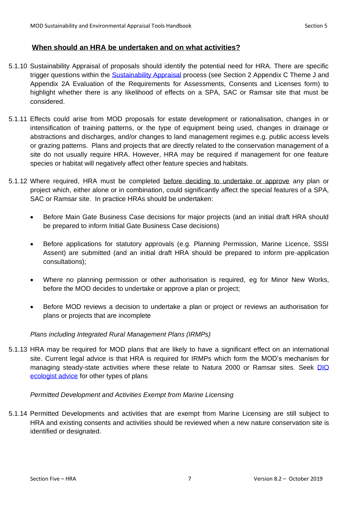#### <span id="page-6-0"></span>**When should an HRA be undertaken and on what activities?**

- 5.1.10 Sustainability Appraisal of proposals should identify the potential need for HRA. There are specific trigger questions within the [Sustainability Appraisal](https://www.gov.uk/government/publications/mod-sustainability-and-environmental-appraisal-tool-handbook) process (see Section 2 Appendix C Theme J and Appendix 2A Evaluation of the Requirements for Assessments, Consents and Licenses form) to highlight whether there is any likelihood of effects on a SPA, SAC or Ramsar site that must be considered.
- 5.1.11 Effects could arise from MOD proposals for estate development or rationalisation, changes in or intensification of training patterns, or the type of equipment being used, changes in drainage or abstractions and discharges, and/or changes to land management regimes e.g. public access levels or grazing patterns. Plans and projects that are directly related to the conservation management of a site do not usually require HRA. However, HRA may be required if management for one feature species or habitat will negatively affect other feature species and habitats.
- 5.1.12 Where required, HRA must be completed before deciding to undertake or approve any plan or project which, either alone or in combination, could significantly affect the special features of a SPA, SAC or Ramsar site. In practice HRAs should be undertaken:
	- Before Main Gate Business Case decisions for major projects (and an initial draft HRA should be prepared to inform Initial Gate Business Case decisions)
	- Before applications for statutory approvals (e.g. Planning Permission, Marine Licence, SSSI) Assent) are submitted (and an initial draft HRA should be prepared to inform pre-application consultations);
	- Where no planning permission or other authorisation is required, eg for Minor New Works, before the MOD decides to undertake or approve a plan or project;
	- Before MOD reviews a decision to undertake a plan or project or reviews an authorisation for plans or projects that are incomplete

#### *Plans including Integrated Rural Management Plans (IRMPs)*

5.1.13 HRA may be required for MOD plans that are likely to have a significant effect on an international site. Current legal advice is that HRA is required for IRMPs which form the MOD's mechanism for managing steady-state activities where these relate to Natura 2000 or Ramsar sites. Seek DIO [ecologist advice](#page-2-0) for other types of plans

#### *Permitted Development and Activities Exempt from Marine Licensing*

5.1.14 Permitted Developments and activities that are exempt from Marine Licensing are still subject to HRA and existing consents and activities should be reviewed when a new nature conservation site is identified or designated.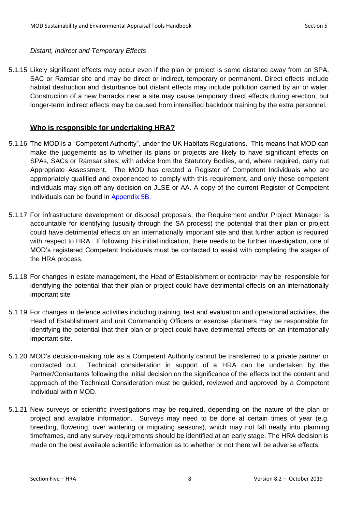#### *Distant, Indirect and Temporary Effects*

5.1.15 Likely significant effects may occur even if the plan or project is some distance away from an SPA, SAC or Ramsar site and may be direct or indirect, temporary or permanent. Direct effects include habitat destruction and disturbance but distant effects may include pollution carried by air or water. Construction of a new barracks near a site may cause temporary direct effects during erection, but longer-term indirect effects may be caused from intensified backdoor training by the extra personnel.

#### <span id="page-7-0"></span>**Who is responsible for undertaking HRA?**

- 5.1.16 The MOD is a "Competent Authority", under the UK Habitats Regulations. This means that MOD can make the judgements as to whether its plans or projects are likely to have significant effects on SPAs, SACs or Ramsar sites, with advice from the Statutory Bodies, and, where required, carry out Appropriate Assessment. The MOD has created a Register of Competent Individuals who are appropriately qualified and experienced to comply with this requirement, and only these competent individuals may sign-off any decision on JLSE or AA. A copy of the current Register of Competent Individuals can be found in [Appendix 5B](#page-23-0).
- 5.1.17 For infrastructure development or disposal proposals, the Requirement and/or Project Manager is accountable for identifying (usually through the SA process) the potential that their plan or project could have detrimental effects on an internationally important site and that further action is required with respect to HRA. If following this initial indication, there needs to be further investigation, one of MOD's registered Competent Individuals must be contacted to assist with completing the stages of the HRA process.
- 5.1.18 For changes in estate management, the Head of Establishment or contractor may be responsible for identifying the potential that their plan or project could have detrimental effects on an internationally important site
- 5.1.19 For changes in defence activities including training, test and evaluation and operational activities, the Head of Establishment and unit Commanding Officers or exercise planners may be responsible for identifying the potential that their plan or project could have detrimental effects on an internationally important site.
- 5.1.20 MOD's decision-making role as a Competent Authority cannot be transferred to a private partner or contracted out. Technical consideration in support of a HRA can be undertaken by the Partner/Consultants following the initial decision on the significance of the effects but the content and approach of the Technical Consideration must be guided, reviewed and approved by a Competent Individual within MOD.
- 5.1.21 New surveys or scientific investigations may be required, depending on the nature of the plan or project and available information. Surveys may need to be done at certain times of year (e.g. breeding, flowering, over wintering or migrating seasons), which may not fall neatly into planning timeframes, and any survey requirements should be identified at an early stage. The HRA decision is made on the best available scientific information as to whether or not there will be adverse effects.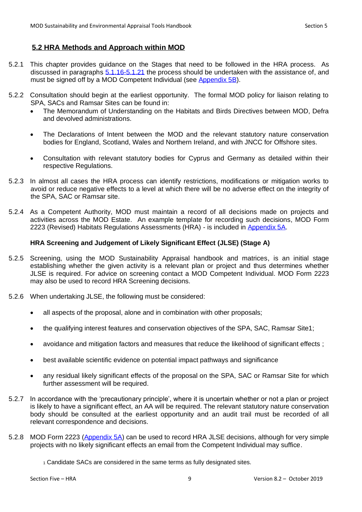#### <span id="page-8-0"></span>**5.2 HRA Methods and Approach within MOD**

- 5.2.1 This chapter provides guidance on the Stages that need to be followed in the HRA process. As discussed in paragraphs [5.1.16-5.1.21](#page-7-0) the process should be undertaken with the assistance of, and must be signed off by a MOD Competent Individual (see [Appendix 5B\)](#page-23-0).
- 5.2.2 Consultation should begin at the earliest opportunity. The formal MOD policy for liaison relating to SPA, SACs and Ramsar Sites can be found in:
	- The Memorandum of Understanding on the Habitats and Birds Directives between MOD, Defra and devolved administrations.
	- The Declarations of Intent between the MOD and the relevant statutory nature conservation bodies for England, Scotland, Wales and Northern Ireland, and with JNCC for Offshore sites.
	- Consultation with relevant statutory bodies for Cyprus and Germany as detailed within their respective Regulations.
- 5.2.3 In almost all cases the HRA process can identify restrictions, modifications or mitigation works to avoid or reduce negative effects to a level at which there will be no adverse effect on the integrity of the SPA, SAC or Ramsar site.
- 5.2.4 As a Competent Authority, MOD must maintain a record of all decisions made on projects and activities across the MOD Estate. An example template for recording such decisions, MOD Form 2223 (Revised) Habitats Regulations Assessments (HRA) - is included in [Appendix 5A.](#page-12-0)

#### <span id="page-8-1"></span>**HRA Screening and Judgement of Likely Significant Effect (JLSE) (Stage A)**

- 5.2.5 Screening, using the MOD Sustainability Appraisal handbook and matrices, is an initial stage establishing whether the given activity is a relevant plan or project and thus determines whether JLSE is required. For advice on screening contact a MOD Competent Individual. MOD Form 2223 may also be used to record HRA Screening decisions.
- 5.2.6 When undertaking JLSE, the following must be considered:
	- all aspects of the proposal, alone and in combination with other proposals;
	- the qualifying interest features and conservation objectives of the SPA, SAC, Ramsar Site1;
	- avoidance and mitigation factors and measures that reduce the likelihood of significant effects ;
	- best available scientific evidence on potential impact pathways and significance
	- any residual likely significant effects of the proposal on the SPA, SAC or Ramsar Site for which further assessment will be required.
- 5.2.7 In accordance with the 'precautionary principle', where it is uncertain whether or not a plan or project is likely to have a significant effect, an AA will be required. The relevant statutory nature conservation body should be consulted at the earliest opportunity and an audit trail must be recorded of all relevant correspondence and decisions.
- 5.2.8 MOD Form 2223 [\(Appendix 5A\)](#page-12-0) can be used to record HRA JLSE decisions, although for very simple projects with no likely significant effects an email from the Competent Individual may suffice.

<sup>1</sup> Candidate SACs are considered in the same terms as fully designated sites.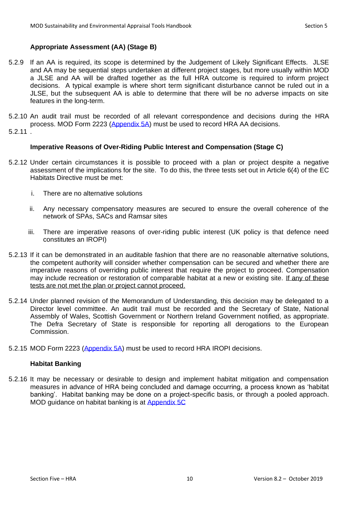#### <span id="page-9-0"></span>**Appropriate Assessment (AA) (Stage B)**

- 5.2.9 If an AA is required, its scope is determined by the Judgement of Likely Significant Effects. JLSE and AA may be sequential steps undertaken at different project stages, but more usually within MOD a JLSE and AA will be drafted together as the full HRA outcome is required to inform project decisions. A typical example is where short term significant disturbance cannot be ruled out in a JLSE, but the subsequent AA is able to determine that there will be no adverse impacts on site features in the long-term.
- 5.2.10 An audit trail must be recorded of all relevant correspondence and decisions during the HRA process. MOD Form 2223 [\(Appendix 5A\)](#page-12-0) must be used to record HRA AA decisions.
- 5.2.11 .

#### <span id="page-9-1"></span>**Imperative Reasons of Over-Riding Public Interest and Compensation (Stage C)**

- 5.2.12 Under certain circumstances it is possible to proceed with a plan or project despite a negative assessment of the implications for the site. To do this, the three tests set out in Article 6(4) of the EC Habitats Directive must be met:
	- i. There are no alternative solutions
	- ii. Any necessary compensatory measures are secured to ensure the overall coherence of the network of SPAs, SACs and Ramsar sites
	- iii. There are imperative reasons of over-riding public interest (UK policy is that defence need constitutes an IROPI)
- 5.2.13 If it can be demonstrated in an auditable fashion that there are no reasonable alternative solutions, the competent authority will consider whether compensation can be secured and whether there are imperative reasons of overriding public interest that require the project to proceed. Compensation may include recreation or restoration of comparable habitat at a new or existing site. If any of these tests are not met the plan or project cannot proceed.
- 5.2.14 Under planned revision of the Memorandum of Understanding, this decision may be delegated to a Director level committee. An audit trail must be recorded and the Secretary of State, National Assembly of Wales, Scottish Government or Northern Ireland Government notified, as appropriate. The Defra Secretary of State is responsible for reporting all derogations to the European Commission.
- 5.2.15 MOD Form 2223 [\(Appendix 5A\)](#page-12-0) must be used to record HRA IROPI decisions.

#### **Habitat Banking**

5.2.16 It may be necessary or desirable to design and implement habitat mitigation and compensation measures in advance of HRA being concluded and damage occurring, a process known as 'habitat banking'. Habitat banking may be done on a project-specific basis, or through a pooled approach. MOD guidance on habitat banking is at [Appendix 5C](#page-24-0)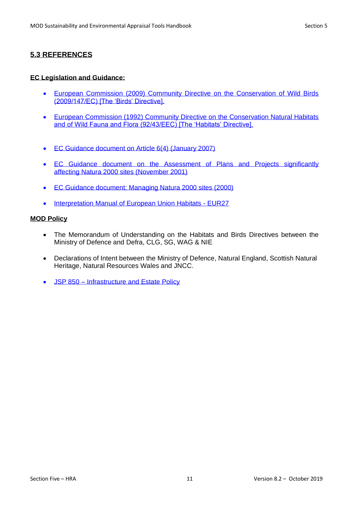#### <span id="page-10-0"></span>**5.3 REFERENCES**

#### **EC Legislation and Guidance:**

- [European Commission \(2009\) Community Directive on the Conservation of Wild Birds](http://ec.europa.eu/environment/nature/legislation/birdsdirective/index_en.htm)  [\(2009/147/EC\) \[The 'Birds' Directive\].](http://ec.europa.eu/environment/nature/legislation/birdsdirective/index_en.htm)
- [European Commission \(1992\) Community Directive on the Conservation Natural Habitats](http://eur-lex.europa.eu/LexUriServ/LexUriServ.do?uri=CONSLEG:1992L0043:20070101:EN:PDF)  [and of Wild Fauna and Flora \(92/43/EEC\) \[The 'Habitats' Directive\].](http://eur-lex.europa.eu/LexUriServ/LexUriServ.do?uri=CONSLEG:1992L0043:20070101:EN:PDF)
- [EC Guidance document on Article 6\(4\) \(January 2007\)](http://ec.europa.eu/environment/nature/natura2000/management/docs/art6/guidance_art6_4_en.pdf)
- EC Guidance document on the Assessment of Plans and Projects significantly affecting [Natura 2000 sites \(November 2001\)](http://ec.europa.eu/environment/nature/natura2000/management/docs/art6/natura_2000_assess_en.pdf)
- [EC Guidance document: Managing Natura 2000 sites \(2000\)](http://ec.europa.eu/environment/nature/natura2000/management/docs/art6/provision_of_art6_en.pdf)
- [Interpretation Manual of European Union Habitats -](http://ec.europa.eu/environment/nature/legislation/habitatsdirective/docs/2007_07_im.pdf) EUR27

#### **MOD Policy**

- The Memorandum of Understanding on the Habitats and Birds Directives between the Ministry of Defence and Defra, CLG, SG, WAG & NIE
- Declarations of Intent between the Ministry of Defence, Natural England, Scottish Natural Heritage, Natural Resources Wales and JNCC.
- JSP 850 [Infrastructure and Estate Policy](https://modgovuk.sharepoint.com/sites/defnet/HOCS/Pages/JSP850.aspx)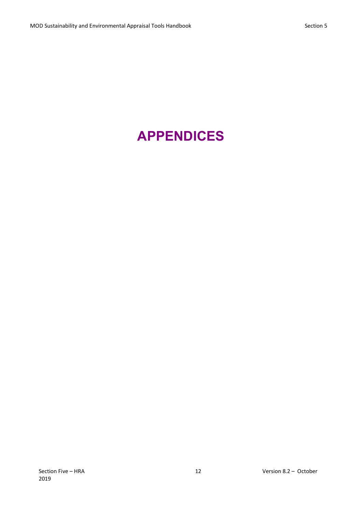# **APPENDICES**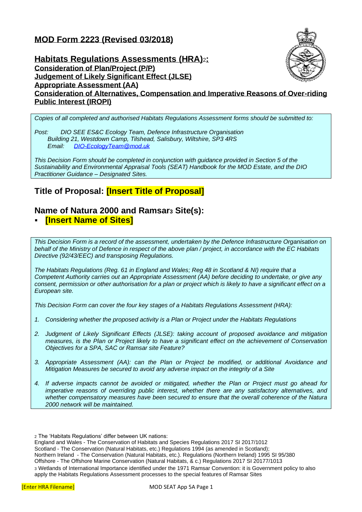## <span id="page-12-0"></span>**MOD Form 2223 (Revised 03/2018)**



**Habitats Regulations Assessments (HRA)**2**: Consideration of Plan/Project (P/P) Judgement of Likely Significant Effect (JLSE) Appropriate Assessment (AA) Consideration of Alternatives, Compensation and Imperative Reasons of Over-riding Public Interest (IROPI)**

*Copies of all completed and authorised Habitats Regulations Assessment forms should be submitted to:*

*Post: DIO SEE ES&C Ecology Team, Defence Infrastructure Organisation Building 21, Westdown Camp, Tilshead, Salisbury, Wiltshire, SP3 4RS Email: [DIO-EcologyTeam@mod.uk](mailto:DIO-EcologyTeam@mod.uk)*

*This Decision Form should be completed in conjunction with guidance provided in Section 5 of the Sustainability and Environmental Appraisal Tools (SEAT) Handbook for the MOD Estate, and the DIO Practitioner Guidance – Designated Sites.* 

### **Title of Proposal: [Insert Title of Proposal]**

## **Name of Natura 2000 and Ramsar<sup>3</sup> Site(s):**

#### **[Insert Name of Sites]**

*This Decision Form is a record of the assessment, undertaken by the Defence Infrastructure Organisation on behalf of the Ministry of Defence in respect of the above plan / project, in accordance with the EC Habitats Directive (92/43/EEC) and transposing Regulations.* 

*The Habitats Regulations (Reg. 61 in England and Wales; Reg 48 in Scotland & NI) require that a Competent Authority carries out an Appropriate Assessment (AA) before deciding to undertake, or give any consent, permission or other authorisation for a plan or project which is likely to have a significant effect on a European site.*

*This Decision Form can cover the four key stages of a Habitats Regulations Assessment (HRA):*

- *1. Considering whether the proposed activity is a Plan or Project under the Habitats Regulations*
- *2. Judgment of Likely Significant Effects (JLSE): taking account of proposed avoidance and mitigation measures, is the Plan or Project likely to have a significant effect on the achievement of Conservation Objectives for a SPA, SAC or Ramsar site Feature?*
- *3. Appropriate Assessment (AA): can the Plan or Project be modified, or additional Avoidance and Mitigation Measures be secured to avoid any adverse impact on the integrity of a Site*
- *4. If adverse impacts cannot be avoided or mitigated, whether the Plan or Project must go ahead for imperative reasons of overriding public interest, whether there are any satisfactory alternatives, and whether compensatory measures have been secured to ensure that the overall coherence of the Natura 2000 network will be maintained.*

- Scotland The Conservation (Natural Habitats, etc.) Regulations 1994 (as amended in Scotland);
- Northern Ireland The Conservation (Natural Habitats, etc.). Regulations (Northern Ireland) 1995 SI 95/380
- Offshore The Offshore Marine Conservation (Natural Habitats, & c.) Regulations 2017 SI 20177/1013

<sup>2</sup> The 'Habitats Regulations' differ between UK nations:

England and Wales - The Conservation of Habitats and Species Regulations 2017 SI 2017/1012

<sup>3</sup> Wetlands of International Importance identified under the 1971 Ramsar Convention: it is Government policy to also apply the Habitats Regulations Assessment processes to the special features of Ramsar Sites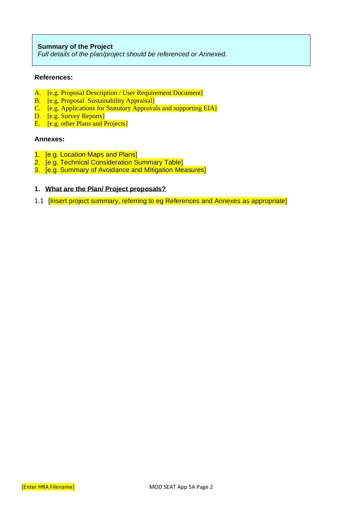#### **Summary of the Project**

*Full details of the plan/project should be referenced or Annexed.* 

#### **References:**

- A. [e.g. Proposal Description / User Requirement Document]
- B. [e.g. Proposal Sustainability Appraisal]
- C. [e.g. Applications for Statutory Approvals and supporting EIA]
- D. **[e.g. Survey Reports]**
- E. **[e.g. other Plans and Projects]**

#### **Annexes:**

- 1. [e.g. Location Maps and Plans]
- 2. [e.g. Technical Consideration Summary Table]
- 3. [e.g. Summary of Avoidance and Mitigation Measures]

#### **1. What are the Plan/ Project proposals?**

1.1 [Insert project summary, referring to eg References and Annexes as appropriate]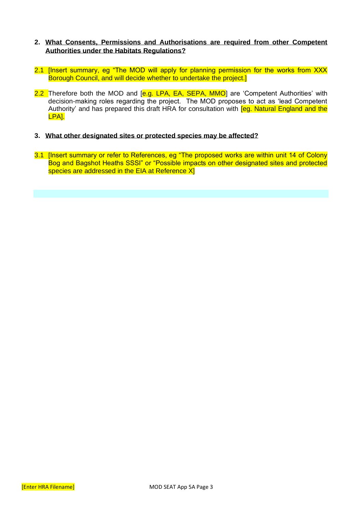#### **2. What Consents, Permissions and Authorisations are required from other Competent Authorities under the Habitats Regulations?**

- 2.1 Ilnsert summary, eg "The MOD will apply for planning permission for the works from XXX Borough Council, and will decide whether to undertake the project.]
- 2.2 Therefore both the MOD and [e.g. LPA, EA, SEPA, MMO] are 'Competent Authorities' with decision-making roles regarding the project. The MOD proposes to act as 'lead Competent Authority' and has prepared this draft HRA for consultation with *[eg. Natural England and the* LPA].
- **3. What other designated sites or protected species may be affected?**
- 3.1 [Insert summary or refer to References, eg "The proposed works are within unit 14 of Colony Bog and Bagshot Heaths SSSI" or "Possible impacts on other designated sites and protected species are addressed in the EIA at Reference XI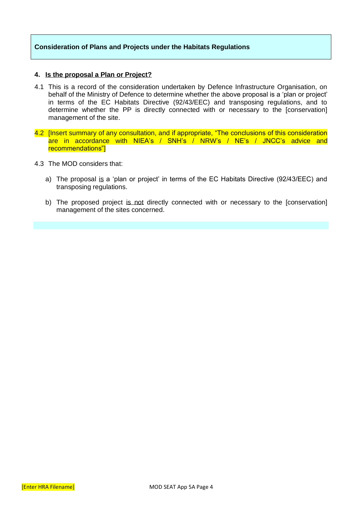#### **Consideration of Plans and Projects under the Habitats Regulations**

#### **4. Is the proposal a Plan or Project?**

- 4.1 This is a record of the consideration undertaken by Defence Infrastructure Organisation, on behalf of the Ministry of Defence to determine whether the above proposal is a 'plan or project' in terms of the EC Habitats Directive (92/43/EEC) and transposing regulations, and to determine whether the PP is directly connected with or necessary to the [conservation] management of the site.
- 4.2 [Insert summary of any consultation, and if appropriate, "The conclusions of this consideration are in accordance with NIEA's / SNH's / NRW's / NE's / JNCC's advice and recommendations"]
- 4.3 The MOD considers that:
	- a) The proposal is a 'plan or project' in terms of the EC Habitats Directive (92/43/EEC) and transposing regulations.
	- b) The proposed project is not directly connected with or necessary to the [conservation] management of the sites concerned.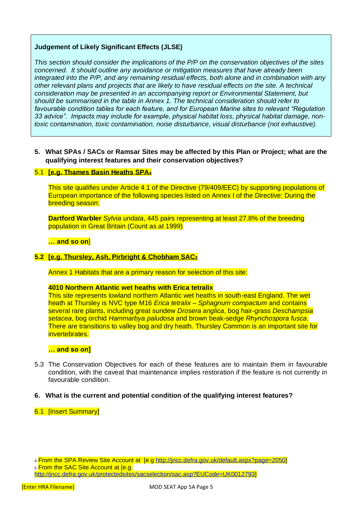#### **Judgement of Likely Significant Effects (JLSE)**

*This section should consider the implications of the P/P on the conservation objectives of the sites concerned. It should outline any avoidance or mitigation measures that have already been integrated into the P/P, and any remaining residual effects, both alone and in combination with any other relevant plans and projects that are likely to have residual effects on the site. A technical consideration may be presented in an accompanying report or Environmental Statement, but should be summarised in the table in Annex 1. The technical consideration should refer to favourable condition tables for each feature, and for European Marine sites to relevant "Regulation 33 advice". Impacts may include for example, physical habitat loss, physical habitat damage, nontoxic contamination, toxic contamination, noise disturbance, visual disturbance (not exhaustive).*

**5. What SPAs / SACs or Ramsar Sites may be affected by this Plan or Project; what are the qualifying interest features and their conservation objectives?**

#### 5.1 **[e.g. Thames Basin Heaths SPA<sup>4</sup>**

This site qualifies under Article 4.1 of the Directive (79/409/EEC) by supporting populations of European importance of the following species listed on Annex I of the Directive: During the breeding season:

**Dartford Warbler** *Sylvia undata*, 445 pairs representing at least 27.8% of the breeding population in Great Britain (Count as at 1999)

**… and so on**]

#### **5.2 [e.g. Thursley, Ash, Pirbright & Chobham SAC<sup>5</sup>**

Annex 1 Habitats that are a primary reason for selection of this site:

#### **4010 Northern Atlantic wet heaths with Erica tetralix**

This site represents lowland northern Atlantic wet heaths in south-east England. The wet heath at Thursley is NVC type M16 *Erica tetralix* – *Sphagnum compactum* and contains several rare plants, including great sundew *Drosera anglica*, bog hair-grass *Deschampsia setacea*, bog orchid *Hammarbya paludosa* and brown beak-sedge *Rhynchospora fusca*. There are transitions to valley bog and dry heath. Thursley Common is an important site for invertebrates.

#### **… and so on]**

5.3 The Conservation Objectives for each of these features are to maintain them in favourable condition, with the caveat that maintenance implies restoration if the feature is not currently in favourable condition.

#### **6. What is the current and potential condition of the qualifying interest features?**

#### 6.1 [Insert Summary]

<sup>4</sup> From the SPA Review Site Account at [e.g [http://jncc.defra.gov.uk/default.aspx?page=2050\]](http://jncc.defra.gov.uk/default.aspx?page=2050) 5 From the SAC Site Account at [e.g.

[http://jncc.defra.gov.uk/protectedsites/sacselection/sac.asp?EUCode=UK0012793\]](http://jncc.defra.gov.uk/protectedsites/sacselection/sac.asp?EUCode=UK0012793)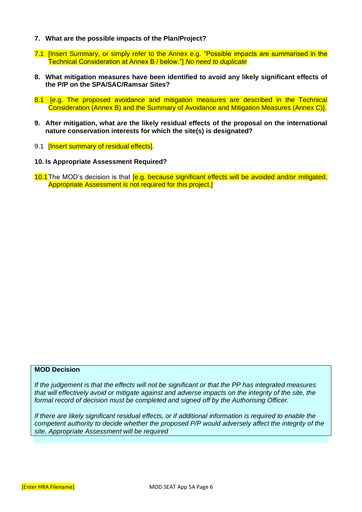- **7. What are the possible impacts of the Plan/Project?**
- 7.1 [Insert Summary, or simply refer to the Annex e.g. "Possible impacts are summarised in the Technical Consideration at Annex B / below."] *No need to duplicate*
- **8. What mitigation measures have been identified to avoid any likely significant effects of the P/P on the SPA/SAC/Ramsar Sites?**
- 8.1 [e.g. The proposed avoidance and mitigation measures are described in the Technical Consideration (Annex B) and the Summary of Avoidance and Mitigation Measures (Annex C)].
- **9. After mitigation, what are the likely residual effects of the proposal on the international nature conservation interests for which the site(s) is designated?**
- 9.1 **[Insert summary of residual effects]**.
- **10. Is Appropriate Assessment Required?**
- 10.1 The MOD's decision is that [e.g. because significant effects will be avoided and/or mitigated, Appropriate Assessment is not required for this project.]

#### **MOD Decision**

*If the judgement is that the effects will not be significant or that the PP has integrated measures that will effectively avoid or mitigate against and adverse impacts on the integrity of the site, the formal record of decision must be completed and signed off by the Authorising Officer.*

*If there are likely significant residual effects, or if additional information is required to enable the competent authority to decide whether the proposed P/P would adversely affect the integrity of the site, Appropriate Assessment will be required*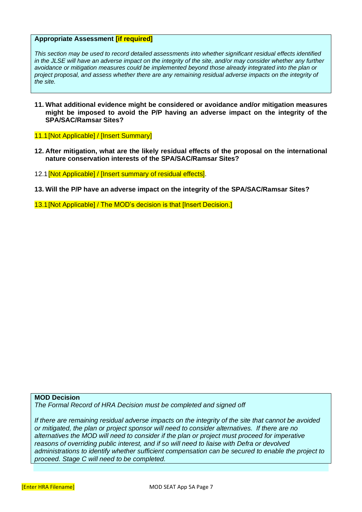#### **Appropriate Assessment [if required]**

*This section may be used to record detailed assessments into whether significant residual effects identified in the JLSE will have an adverse impact on the integrity of the site, and/or may consider whether any further avoidance or mitigation measures could be implemented beyond those already integrated into the plan or project proposal, and assess whether there are any remaining residual adverse impacts on the integrity of the site.* 

- **11. What additional evidence might be considered or avoidance and/or mitigation measures might be imposed to avoid the P/P having an adverse impact on the integrity of the SPA/SAC/Ramsar Sites?**
- 11.1[Not Applicable] / [Insert Summary]
- **12. After mitigation, what are the likely residual effects of the proposal on the international nature conservation interests of the SPA/SAC/Ramsar Sites?**
- 12.1 [Not Applicable] / [Insert summary of residual effects].
- **13. Will the P/P have an adverse impact on the integrity of the SPA/SAC/Ramsar Sites?**
- 13.1[Not Applicable] / The MOD's decision is that [Insert Decision.]

#### **MOD Decision**

*The Formal Record of HRA Decision must be completed and signed off* 

*If there are remaining residual adverse impacts on the integrity of the site that cannot be avoided or mitigated, the plan or project sponsor will need to consider alternatives. If there are no alternatives the MOD will need to consider if the plan or project must proceed for imperative reasons of overriding public interest, and if so will need to liaise with Defra or devolved administrations to identify whether sufficient compensation can be secured to enable the project to proceed. Stage C will need to be completed.*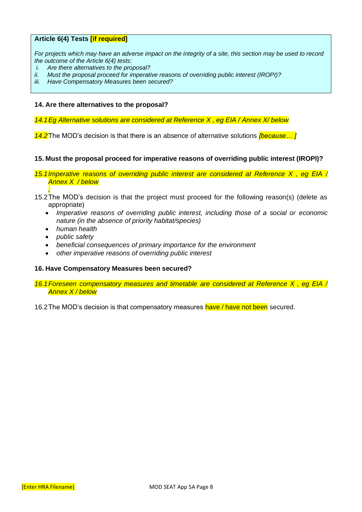#### **Article 6(4) Tests [if required]**

*For projects which may have an adverse impact on the integrity of a site, this section may be used to record the outcome of the Article 6(4) tests:*

- *i. Are there alternatives to the proposal?*
- *ii. Must the proposal proceed for imperative reasons of overriding public interest (IROPI)?*
- *iii. Have Compensatory Measures been secured?*

#### **14. Are there alternatives to the proposal?**

*14.1Eg Alternative solutions are considered at Reference X , eg EIA / Annex X/ below*

*14.2*The MOD's decision is that there is an absence of alternative solutions *[because… ]*

#### **15. Must the proposal proceed for imperative reasons of overriding public interest (IROPI)?**

*15.1Imperative reasons of overriding public interest are considered at Reference X , eg EIA / Annex X / below*

- *,* 15.2The MOD's decision is that the project must proceed for the following reason(s) (delete as appropriate)
	- Imperative reasons of overriding public interest, including those of a social or economic *nature (in the absence of priority habitat/species)*
	- *human health*
	- *public safety*
	- *beneficial consequences of primary importance for the environment*
	- *other imperative reasons of overriding public interest*

#### **16. Have Compensatory Measures been secured?**

- *16.1Foreseen compensatory measures and timetable are considered at Reference X , eg EIA / Annex X / below*
- 16.2 The MOD's decision is that compensatory measures have *l* have not been secured.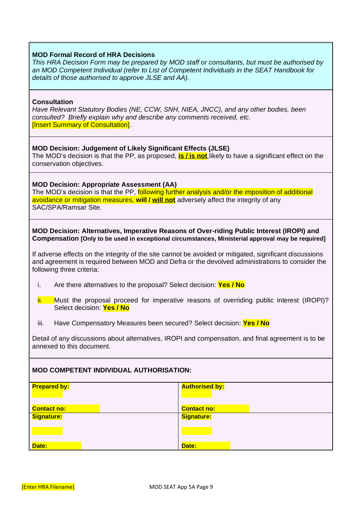#### **MOD Formal Record of HRA Decisions**

*This HRA Decision Form may be prepared by MOD staff or consultants, but must be authorised by an MOD Competent Individual (refer to List of Competent Individuals in the SEAT Handbook for details of those authorised to approve JLSE and AA).*

#### **Consultation**

*Have Relevant Statutory Bodies (NE, CCW, SNH, NIEA, JNCC), and any other bodies, been consulted? Briefly explain why and describe any comments received, etc.* [Insert Summary of Consultation].

#### **MOD Decision: Judgement of Likely Significant Effects (JLSE)**

The MOD's decision is that the PP, as proposed, **is / is not** likely to have a significant effect on the conservation objectives.

#### **MOD Decision: Appropriate Assessment (AA)**

The MOD's decision is that the PP, following further analysis and/or the imposition of additional avoidance or mitigation measures, **will / will not** adversely affect the integrity of any SAC/SPA/Ramsar Site.

#### **MOD Decision: Alternatives, Imperative Reasons of Over-riding Public Interest (IROPI) and Compensation [Only to be used in exceptional circumstances, Ministerial approval may be required]**

If adverse effects on the integrity of the site cannot be avoided or mitigated, significant discussions and agreement is required between MOD and Defra or the devolved administrations to consider the following three criteria:

- i. Are there alternatives to the proposal? Select decision: **Yes / No**
- ii. Must the proposal proceed for imperative reasons of overriding public interest (IROPI)? Select decision: **Yes / No**
- iii. Have Compensatory Measures been secured? Select decision: **Yes / No**

Detail of any discussions about alternatives, IROPI and compensation, and final agreement is to be annexed to this document.

#### **MOD COMPETENT INDIVIDUAL AUTHORISATION:**

| <b>Prepared by:</b> | <b>Authorised by:</b> |
|---------------------|-----------------------|
| <b>Contact no:</b>  | <b>Contact no:</b>    |
| <b>Signature:</b>   | <b>Signature:</b>     |
|                     |                       |
| Date:               | Date:                 |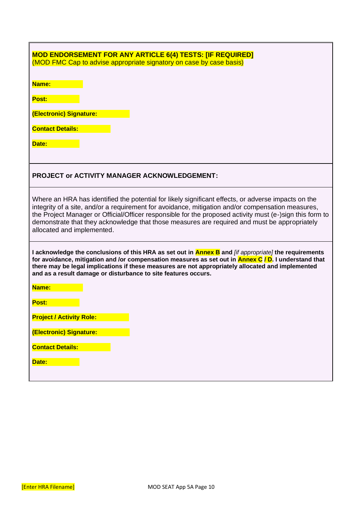| <b>MOD ENDORSEMENT FOR ANY ARTICLE 6(4) TESTS: [IF REQUIRED]</b><br>(MOD FMC Cap to advise appropriate signatory on case by case basis)                                                                                                                                                                                                                                                                                                            |
|----------------------------------------------------------------------------------------------------------------------------------------------------------------------------------------------------------------------------------------------------------------------------------------------------------------------------------------------------------------------------------------------------------------------------------------------------|
| Name:                                                                                                                                                                                                                                                                                                                                                                                                                                              |
| Post:                                                                                                                                                                                                                                                                                                                                                                                                                                              |
| (Electronic) Signature:                                                                                                                                                                                                                                                                                                                                                                                                                            |
| <b>Contact Details:</b>                                                                                                                                                                                                                                                                                                                                                                                                                            |
| Date:                                                                                                                                                                                                                                                                                                                                                                                                                                              |
| <b>PROJECT or ACTIVITY MANAGER ACKNOWLEDGEMENT:</b>                                                                                                                                                                                                                                                                                                                                                                                                |
| Where an HRA has identified the potential for likely significant effects, or adverse impacts on the<br>integrity of a site, and/or a requirement for avoidance, mitigation and/or compensation measures,<br>the Project Manager or Official/Officer responsible for the proposed activity must (e-)sign this form to<br>demonstrate that they acknowledge that those measures are required and must be appropriately<br>allocated and implemented. |
| I acknowledge the conclusions of this HRA as set out in <b>Annex B</b> and <i>[if appropriate]</i> the requirements<br>for avoidance, mitigation and /or compensation measures as set out in <b>Annex C / D</b> . I understand that<br>there may be legal implications if these measures are not appropriately allocated and implemented<br>and as a result damage or disturbance to site features occurs.                                         |
| Name:                                                                                                                                                                                                                                                                                                                                                                                                                                              |
| Post:                                                                                                                                                                                                                                                                                                                                                                                                                                              |
| <b>Project / Activity Role:</b>                                                                                                                                                                                                                                                                                                                                                                                                                    |
| (Electronic) Signature:                                                                                                                                                                                                                                                                                                                                                                                                                            |
| <b>Contact Details:</b>                                                                                                                                                                                                                                                                                                                                                                                                                            |
| Date:                                                                                                                                                                                                                                                                                                                                                                                                                                              |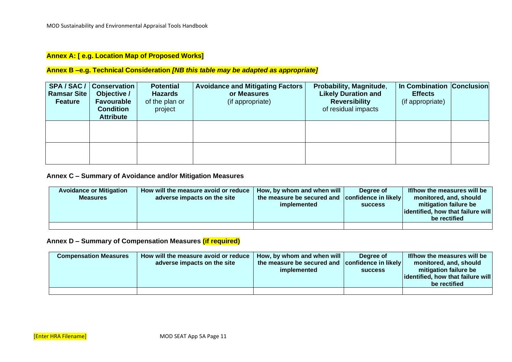#### **Annex A: [ e.g. Location Map of Proposed Works]**

#### **Annex B –e.g. Technical Consideration** *[NB this table may be adapted as appropriate]*

| <b>Ramsar Site</b><br><b>Feature</b> | SPA / SAC /   Conservation  <br>Objective /<br><b>Favourable</b><br><b>Condition</b><br><b>Attribute</b> | <b>Potential</b><br><b>Hazards</b><br>of the plan or<br>project | <b>Avoidance and Mitigating Factors</b><br>or Measures<br>(if appropriate) | Probability, Magnitude,<br><b>Likely Duration and</b><br><b>Reversibility</b><br>of residual impacts | In Combination Conclusion<br><b>Effects</b><br>(if appropriate) |  |
|--------------------------------------|----------------------------------------------------------------------------------------------------------|-----------------------------------------------------------------|----------------------------------------------------------------------------|------------------------------------------------------------------------------------------------------|-----------------------------------------------------------------|--|
|                                      |                                                                                                          |                                                                 |                                                                            |                                                                                                      |                                                                 |  |
|                                      |                                                                                                          |                                                                 |                                                                            |                                                                                                      |                                                                 |  |

#### **Annex C – Summary of Avoidance and/or Mitigation Measures**

| <b>Avoidance or Mitigation</b><br><b>Measures</b> | How will the measure avoid or reduce<br>adverse impacts on the site | How, by whom and when will<br>the measure be secured and confidence in likely<br>implemented | Dearee of<br><b>SUCCESS</b> | If/how the measures will be<br>monitored, and, should<br>mitigation failure be<br>dentified, how that failure will<br>be rectified |
|---------------------------------------------------|---------------------------------------------------------------------|----------------------------------------------------------------------------------------------|-----------------------------|------------------------------------------------------------------------------------------------------------------------------------|
|                                                   |                                                                     |                                                                                              |                             |                                                                                                                                    |

#### **Annex D – Summary of Compensation Measures (if required)**

| <b>Compensation Measures</b> | How will the measure avoid or reduce<br>adverse impacts on the site | How, by whom and when will<br>the measure be secured and confidence in likely<br>implemented | Dearee of<br><b>SUCCESS</b> | If/how the measures will be<br>monitored, and, should<br>mitigation failure be<br>dentified, how that failure will<br>be rectified |
|------------------------------|---------------------------------------------------------------------|----------------------------------------------------------------------------------------------|-----------------------------|------------------------------------------------------------------------------------------------------------------------------------|
|                              |                                                                     |                                                                                              |                             |                                                                                                                                    |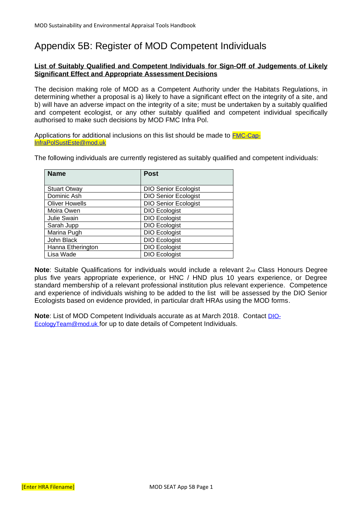# <span id="page-23-0"></span>Appendix 5B: Register of MOD Competent Individuals

#### **List of Suitably Qualified and Competent Individuals for Sign-Off of Judgements of Likely Significant Effect and Appropriate Assessment Decisions**

The decision making role of MOD as a Competent Authority under the Habitats Regulations, in determining whether a proposal is a) likely to have a significant effect on the integrity of a site, and b) will have an adverse impact on the integrity of a site; must be undertaken by a suitably qualified and competent ecologist, or any other suitably qualified and competent individual specifically authorised to make such decisions by MOD FMC Infra Pol.

Applications for additional inclusions on this list should be made to [FMC-Cap-](mailto:FMC-Cap-InfraPolSustEste@mod.uk)[InfraPolSustEste@mod.uk](mailto:FMC-Cap-InfraPolSustEste@mod.uk)

The following individuals are currently registered as suitably qualified and competent individuals:

| <b>Name</b>           | <b>Post</b>                 |
|-----------------------|-----------------------------|
|                       |                             |
| <b>Stuart Otway</b>   | <b>DIO Senior Ecologist</b> |
| Dominic Ash           | <b>DIO Senior Ecologist</b> |
| <b>Oliver Howells</b> | <b>DIO Senior Ecologist</b> |
| Moira Owen            | <b>DIO Ecologist</b>        |
| Julie Swain           | <b>DIO Ecologist</b>        |
| Sarah Jupp            | <b>DIO Ecologist</b>        |
| Marina Pugh           | <b>DIO Ecologist</b>        |
| John Black            | <b>DIO Ecologist</b>        |
| Hanna Etherington     | <b>DIO Ecologist</b>        |
| Lisa Wade             | <b>DIO Ecologist</b>        |

**Note:** Suitable Qualifications for individuals would include a relevant 2<sub>nd</sub> Class Honours Degree plus five years appropriate experience, or HNC / HND plus 10 years experience, or Degree standard membership of a relevant professional institution plus relevant experience. Competence and experience of individuals wishing to be added to the list will be assessed by the DIO Senior Ecologists based on evidence provided, in particular draft HRAs using the MOD forms.

**Note**: List of MOD Competent Individuals accurate as at March 2018. Contact [DIO-](mailto:DIO-EcologyTeam@mod.uk)[EcologyTeam@mod.uk](mailto:DIO-EcologyTeam@mod.uk) for up to date details of Competent Individuals.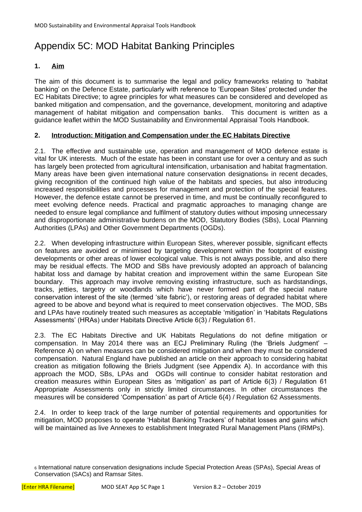# <span id="page-24-0"></span>Appendix 5C: MOD Habitat Banking Principles

#### **1. Aim**

The aim of this document is to summarise the legal and policy frameworks relating to 'habitat banking' on the Defence Estate, particularly with reference to 'European Sites' protected under the EC Habitats Directive; to agree principles for what measures can be considered and developed as banked mitigation and compensation, and the governance, development, monitoring and adaptive management of habitat mitigation and compensation banks. This document is written as a guidance leaflet within the MOD Sustainability and Environmental Appraisal Tools Handbook.

#### **2. Introduction: Mitigation and Compensation under the EC Habitats Directive**

2.1. The effective and sustainable use, operation and management of MOD defence estate is vital for UK interests. Much of the estate has been in constant use for over a century and as such has largely been protected from agricultural intensification, urbanisation and habitat fragmentation. Many areas have been given international nature conservation designations<sub>6</sub> in recent decades, giving recognition of the continued high value of the habitats and species, but also introducing increased responsibilities and processes for management and protection of the special features. However, the defence estate cannot be preserved in time, and must be continually reconfigured to meet evolving defence needs. Practical and pragmatic approaches to managing change are needed to ensure legal compliance and fulfilment of statutory duties without imposing unnecessary and disproportionate administrative burdens on the MOD, Statutory Bodies (SBs), Local Planning Authorities (LPAs) and Other Government Departments (OGDs).

2.2. When developing infrastructure within European Sites, wherever possible, significant effects on features are avoided or minimised by targeting development within the footprint of existing developments or other areas of lower ecological value. This is not always possible, and also there may be residual effects. The MOD and SBs have previously adopted an approach of balancing habitat loss and damage by habitat creation and improvement within the same European Site boundary. This approach may involve removing existing infrastructure, such as hardstandings, tracks, jetties, targetry or woodlands which have never formed part of the special nature conservation interest of the site (termed 'site fabric'), or restoring areas of degraded habitat where agreed to be above and beyond what is required to meet conservation objectives. The MOD, SBs and LPAs have routinely treated such measures as acceptable 'mitigation' in 'Habitats Regulations Assessments' (HRAs) under Habitats Directive Article 6(3) / Regulation 61.

2.3. The EC Habitats Directive and UK Habitats Regulations do not define mitigation or compensation. In May 2014 there was an ECJ Preliminary Ruling (the 'Briels Judgment' – Reference A) on when measures can be considered mitigation and when they must be considered compensation. Natural England have published an article on their approach to considering habitat creation as mitigation following the Briels Judgment (see Appendix A). In accordance with this approach the MOD, SBs, LPAs and OGDs will continue to consider habitat restoration and creation measures within European Sites as 'mitigation' as part of Article 6(3) / Regulation 61 Appropriate Assessments only in strictly limited circumstances. In other circumstances the measures will be considered 'Compensation' as part of Article 6(4) / Regulation 62 Assessments.

2.4. In order to keep track of the large number of potential requirements and opportunities for mitigation, MOD proposes to operate 'Habitat Banking Trackers' of habitat losses and gains which will be maintained as live Annexes to establishment Integrated Rural Management Plans (IRMPs).

<sup>6</sup> International nature conservation designations include Special Protection Areas (SPAs), Special Areas of Conservation (SACs) and Ramsar Sites.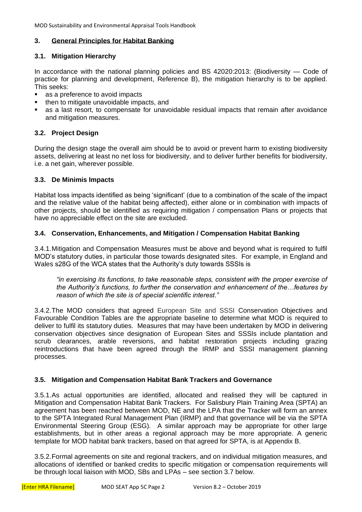MOD Sustainability and Environmental Appraisal Tools Handbook

#### **3. General Principles for Habitat Banking**

#### **3.1. Mitigation Hierarchy**

In accordance with the national planning policies and BS 42020:2013: (Biodiversity — Code of practice for planning and development, Reference B), the mitigation hierarchy is to be applied. This seeks:

- as a preference to avoid impacts
- then to mitigate unavoidable impacts, and
- **•** as a last resort, to compensate for unavoidable residual impacts that remain after avoidance and mitigation measures.

#### **3.2. Project Design**

During the design stage the overall aim should be to avoid or prevent harm to existing biodiversity assets, delivering at least no net loss for biodiversity, and to deliver further benefits for biodiversity, i.e. a net gain, wherever possible.

#### **3.3. De Minimis Impacts**

Habitat loss impacts identified as being 'significant' (due to a combination of the scale of the impact and the relative value of the habitat being affected), either alone or in combination with impacts of other projects, should be identified as requiring mitigation / compensation Plans or projects that have no appreciable effect on the site are excluded.

#### **3.4. Conservation, Enhancements, and Mitigation / Compensation Habitat Banking**

3.4.1.Mitigation and Compensation Measures must be above and beyond what is required to fulfil MOD's statutory duties, in particular those towards designated sites. For example, in England and Wales s28G of the WCA states that the Authority's duty towards SSSIs is

*"in exercising its functions, to take reasonable steps, consistent with the proper exercise of the Authority's functions, to further the conservation and enhancement of the…features by reason of which the site is of special scientific interest."* 

3.4.2.The MOD considers that agreed European Site and SSSI Conservation Objectives and Favourable Condition Tables are the appropriate baseline to determine what MOD is required to deliver to fulfil its statutory duties. Measures that may have been undertaken by MOD in delivering conservation objectives since designation of European Sites and SSSIs include plantation and scrub clearances, arable reversions, and habitat restoration projects including grazing reintroductions that have been agreed through the IRMP and SSSI management planning processes.

#### **3.5. Mitigation and Compensation Habitat Bank Trackers and Governance**

3.5.1.As actual opportunities are identified, allocated and realised they will be captured in Mitigation and Compensation Habitat Bank Trackers. For Salisbury Plain Training Area (SPTA) an agreement has been reached between MOD, NE and the LPA that the Tracker will form an annex to the SPTA Integrated Rural Management Plan (IRMP) and that governance will be via the SPTA Environmental Steering Group (ESG). A similar approach may be appropriate for other large establishments, but in other areas a regional approach may be more appropriate. A generic template for MOD habitat bank trackers, based on that agreed for SPTA, is at Appendix B.

3.5.2.Formal agreements on site and regional trackers, and on individual mitigation measures, and allocations of identified or banked credits to specific mitigation or compensation requirements will be through local liaison with MOD, SBs and LPAs – see section 3.7 below.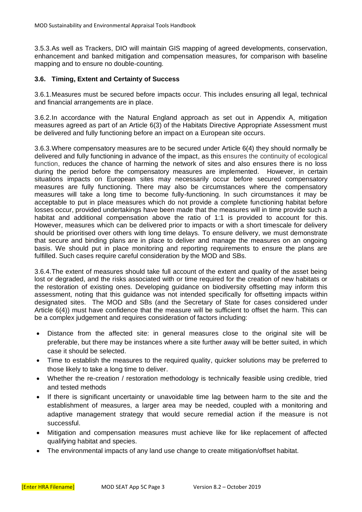3.5.3.As well as Trackers, DIO will maintain GIS mapping of agreed developments, conservation, enhancement and banked mitigation and compensation measures, for comparison with baseline mapping and to ensure no double-counting.

#### **3.6. Timing, Extent and Certainty of Success**

3.6.1.Measures must be secured before impacts occur. This includes ensuring all legal, technical and financial arrangements are in place.

3.6.2.In accordance with the Natural England approach as set out in Appendix A, mitigation measures agreed as part of an Article 6(3) of the Habitats Directive Appropriate Assessment must be delivered and fully functioning before an impact on a European site occurs.

3.6.3.Where compensatory measures are to be secured under Article 6(4) they should normally be delivered and fully functioning in advance of the impact, as this ensures the continuity of ecological function, reduces the chance of harming the network of sites and also ensures there is no loss during the period before the compensatory measures are implemented. However, in certain situations impacts on European sites may necessarily occur before secured compensatory measures are fully functioning. There may also be circumstances where the compensatory measures will take a long time to become fully-functioning. In such circumstances it may be acceptable to put in place measures which do not provide a complete functioning habitat before losses occur, provided undertakings have been made that the measures will in time provide such a habitat and additional compensation above the ratio of 1:1 is provided to account for this. However, measures which can be delivered prior to impacts or with a short timescale for delivery should be prioritised over others with long time delays. To ensure delivery, we must demonstrate that secure and binding plans are in place to deliver and manage the measures on an ongoing basis. We should put in place monitoring and reporting requirements to ensure the plans are fulfilled. Such cases require careful consideration by the MOD and SBs.

3.6.4.The extent of measures should take full account of the extent and quality of the asset being lost or degraded, and the risks associated with or time required for the creation of new habitats or the restoration of existing ones. Developing guidance on biodiversity offsetting may inform this assessment, noting that this guidance was not intended specifically for offsetting impacts within designated sites. The MOD and SBs (and the Secretary of State for cases considered under Article 6(4)) must have confidence that the measure will be sufficient to offset the harm. This can be a complex judgement and requires consideration of factors including:

- Distance from the affected site: in general measures close to the original site will be preferable, but there may be instances where a site further away will be better suited, in which case it should be selected.
- Time to establish the measures to the required quality, quicker solutions may be preferred to those likely to take a long time to deliver.
- Whether the re-creation / restoration methodology is technically feasible using credible, tried and tested methods
- If there is significant uncertainty or unavoidable time lag between harm to the site and the establishment of measures, a larger area may be needed, coupled with a monitoring and adaptive management strategy that would secure remedial action if the measure is not successful.
- Mitigation and compensation measures must achieve like for like replacement of affected qualifying habitat and species.
- The environmental impacts of any land use change to create mitigation/offset habitat.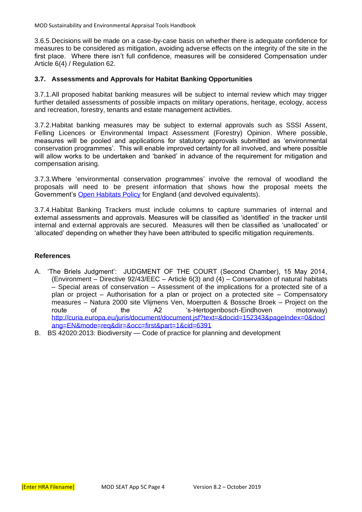MOD Sustainability and Environmental Appraisal Tools Handbook

3.6.5.Decisions will be made on a case-by-case basis on whether there is adequate confidence for measures to be considered as mitigation, avoiding adverse effects on the integrity of the site in the first place. Where there isn't full confidence, measures will be considered Compensation under Article 6(4) / Regulation 62.

#### **3.7. Assessments and Approvals for Habitat Banking Opportunities**

3.7.1.All proposed habitat banking measures will be subject to internal review which may trigger further detailed assessments of possible impacts on military operations, heritage, ecology, access and recreation, forestry, tenants and estate management activities.

3.7.2.Habitat banking measures may be subject to external approvals such as SSSI Assent, Felling Licences or Environmental Impact Assessment (Forestry) Opinion. Where possible, measures will be pooled and applications for statutory approvals submitted as 'environmental conservation programmes'. This will enable improved certainty for all involved, and where possible will allow works to be undertaken and 'banked' in advance of the requirement for mitigation and compensation arising.

3.7.3.Where 'environmental conservation programmes' involve the removal of woodland the proposals will need to be present information that shows how the proposal meets the Government's [Open Habitats Policy](http://www.forestry.gov.uk/england-openhabitats) for England (and devolved equivalents).

3.7.4.Habitat Banking Trackers must include columns to capture summaries of internal and external assessments and approvals. Measures will be classified as 'identified' in the tracker until internal and external approvals are secured. Measures will then be classified as 'unallocated' or 'allocated' depending on whether they have been attributed to specific mitigation requirements.

#### **References**

- A. 'The Briels Judgment': JUDGMENT OF THE COURT (Second Chamber), 15 May 2014, (Environment – Directive 92/43/EEC – Article 6(3) and (4) – Conservation of natural habitats – Special areas of conservation – Assessment of the implications for a protected site of a plan or project – Authorisation for a plan or project on a protected site – Compensatory measures – Natura 2000 site Vlijmens Ven, Moerputten & Bossche Broek – Project on the route of the A2 's-Hertogenbosch-Eindhoven motorway) [http://curia.europa.eu/juris/document/document.jsf?text=&docid=152343&pageIndex=0&docl](http://curia.europa.eu/juris/document/document.jsf?text=&docid=152343&pageIndex=0&doclang=EN&mode=req&dir=&occ=first&part=1&cid=6391) [ang=EN&mode=req&dir=&occ=first&part=1&cid=6391](http://curia.europa.eu/juris/document/document.jsf?text=&docid=152343&pageIndex=0&doclang=EN&mode=req&dir=&occ=first&part=1&cid=6391)
- B. BS 42020:2013: Biodiversity Code of practice for planning and development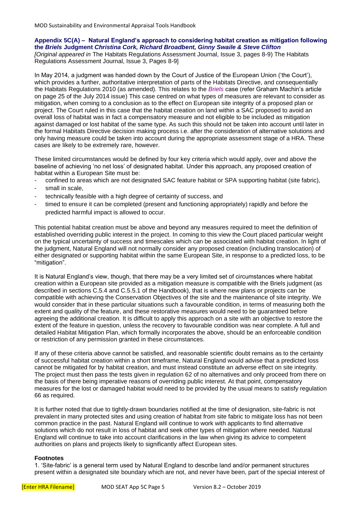#### **Appendix 5C(A) – Natural England's approach to considering habitat creation as mitigation following the** *Briels* **Judgment** *Christina Cork, Richard Broadbent, Ginny Swaile & Steve Clifton*

*[Original appeared in* The Habitats Regulations Assessment Journal, Issue 3, pages 8-9) The Habitats Regulations Assessment Journal, Issue 3, Pages 8-9]

In May 2014, a judgment was handed down by the Court of Justice of the European Union ('the Court'), which provides a further, authoritative interpretation of parts of the Habitats Directive, and consequentially the Habitats Regulations 2010 (as amended). This relates to the *Briels* case (refer Graham Machin's article on page 25 of the July 2014 issue) This case centred on what types of measures are relevant to consider as mitigation, when coming to a conclusion as to the effect on European site integrity of a proposed plan or project. The Court ruled in this case that the habitat creation on land within a SAC proposed to avoid an overall loss of habitat was in fact a compensatory measure and not eligible to be included as mitigation against damaged or lost habitat of the same type. As such this should not be taken into account until later in the formal Habitats Directive decision making process i.e. after the consideration of alternative solutions and only having measure could be taken into account during the appropriate assessment stage of a HRA. These cases are likely to be extremely rare, however.

These limited circumstances would be defined by four key criteria which would apply, over and above the baseline of achieving 'no net loss' of designated habitat. Under this approach, any proposed creation of habitat within a European Site must be:

- confined to areas which are not designated SAC feature habitat or SPA supporting habitat (site fabric),
- small in scale.
- technically feasible with a high degree of certainty of success, and
- timed to ensure it can be completed (present and functioning appropriately) rapidly and before the predicted harmful impact is allowed to occur.

This potential habitat creation must be above and beyond any measures required to meet the definition of established overriding public interest in the project. In coming to this view the Court placed particular weight on the typical uncertainty of success and timescales which can be associated with habitat creation. In light of the judgment, Natural England will not normally consider any proposed creation (including translocation) of either designated or supporting habitat within the same European Site, in response to a predicted loss, to be "mitigation".

It is Natural England's view, though, that there may be a very limited set of circumstances where habitat creation within a European site provided as a mitigation measure is compatible with the Briels judgment (as described in sections C.5.4 and C.5.5.1 of the Handbook), that is where new plans or projects can be compatible with achieving the Conservation Objectives of the site and the maintenance of site integrity. We would consider that in these particular situations such a favourable condition, in terms of measuring both the extent and quality of the feature, and these restorative measures would need to be guaranteed before agreeing the additional creation. It is difficult to apply this approach on a site with an objective to restore the extent of the feature in question, unless the recovery to favourable condition was near complete. A full and detailed Habitat Mitigation Plan, which formally incorporates the above, should be an enforceable condition or restriction of any permission granted in these circumstances.

If any of these criteria above cannot be satisfied, and reasonable scientific doubt remains as to the certainty of successful habitat creation within a short timeframe, Natural England would advise that a predicted loss cannot be mitigated for by habitat creation, and must instead constitute an adverse effect on site integrity. The project must then pass the tests given in regulation 62 of no alternatives and only proceed from there on the basis of there being imperative reasons of overriding public interest. At that point, compensatory measures for the lost or damaged habitat would need to be provided by the usual means to satisfy regulation 66 as required.

It is further noted that due to tightly-drawn boundaries notified at the time of designation, site-fabric is not prevalent in many protected sites and using creation of habitat from site fabric to mitigate loss has not been common practice in the past. Natural England will continue to work with applicants to find alternative solutions which do not result in loss of habitat and seek other types of mitigation where needed. Natural England will continue to take into account clarifications in the law when giving its advice to competent authorities on plans and projects likely to significantly affect European sites.

#### **Footnotes**

1. 'Site-fabric' is a general term used by Natural England to describe land and/or permanent structures present within a designated site boundary which are not, and never have been, part of the special interest of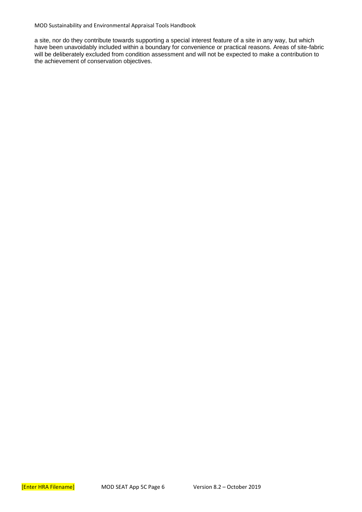MOD Sustainability and Environmental Appraisal Tools Handbook

a site, nor do they contribute towards supporting a special interest feature of a site in any way, but which have been unavoidably included within a boundary for convenience or practical reasons. Areas of site-fabric will be deliberately excluded from condition assessment and will not be expected to make a contribution to the achievement of conservation objectives.